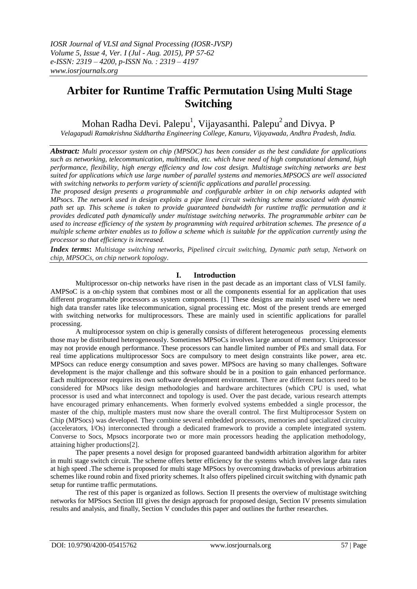# **Arbiter for Runtime Traffic Permutation Using Multi Stage Switching**

Mohan Radha Devi. Palepu<sup>1</sup>, Vijayasanthi. Palepu<sup>2</sup> and Divya. P

*Velagapudi Ramakrishna Siddhartha Engineering College, Kanuru, Vijayawada, Andhra Pradesh, India.*

*Abstract: Multi processor system on chip (MPSOC) has been consider as the best candidate for applications such as networking, telecommunication, multimedia, etc. which have need of high computational demand, high performance, flexibility, high energy efficiency and low cost design. Multistage switching networks are best suited for applications which use large number of parallel systems and memories.MPSOCS are well associated with switching networks to perform variety of scientific applications and parallel processing.*

*The proposed design presents a programmable and configurable arbiter in on chip networks adapted with MPsocs. The network used in design exploits a pipe lined circuit switching scheme associated with dynamic path set up. This scheme is taken to provide guaranteed bandwidth for runtime traffic permutation and it provides dedicated path dynamically under multistage switching networks. The programmable arbiter can be used to increase efficiency of the system by programming with required arbitration schemes. The presence of a multiple scheme arbiter enables us to follow a scheme which is suitable for the application currently using the processor so that efficiency is increased.*

*Index terms***:** *Multistage switching networks, Pipelined circuit switching, Dynamic path setup, Network on chip, MPSOCs, on chip network topology.*

## **I. Introduction**

Multiprocessor on-chip networks have risen in the past decade as an important class of VLSI family. AMPSoC is a on-chip system that combines most or all the components essential for an application that uses different programmable processors as system components. [1] These designs are mainly used where we need high data transfer rates like telecommunication, signal processing etc. Most of the present trends are emerged with switching networks for multiprocessors. These are mainly used in scientific applications for parallel processing.

A multiprocessor system on chip is generally consists of different heterogeneous processing elements those may be distributed heterogeneously. Sometimes MPSoCs involves large amount of memory. Uniprocessor may not provide enough performance. These processors can handle limited number of PEs and small data. For real time applications multiprocessor Socs are compulsory to meet design constraints like power, area etc. MPSocs can reduce energy consumption and saves power. MPSocs are having so many challenges. Software development is the major challenge and this software should be in a position to gain enhanced performance. Each multiprocessor requires its own software development environment. There are different factors need to be considered for MPsocs like design methodologies and hardware architectures (which CPU is used, what processor is used and what interconnect and topology is used. Over the past decade, various research attempts have encouraged primary enhancements. When formerly evolved systems embedded a single processor, the master of the chip, multiple masters must now share the overall control. The first Multiprocessor System on Chip (MPSocs) was developed. They combine several embedded processors, memories and specialized circuitry (accelerators, I/Os) interconnected through a dedicated framework to provide a complete integrated system. Converse to Socs, Mpsocs incorporate two or more main processors heading the application methodology, attaining higher productions[2].

The paper presents a novel design for proposed guaranteed bandwidth arbitration algorithm for arbiter in multi stage switch circuit. The scheme offers better efficiency for the systems which involves large data rates at high speed .The scheme is proposed for multi stage MPSocs by overcoming drawbacks of previous arbitration schemes like round robin and fixed priority schemes. It also offers pipelined circuit switching with dynamic path setup for runtime traffic permutations.

The rest of this paper is organized as follows. Section II presents the overview of multistage switching networks for MPSocs Section III gives the design approach for proposed design, Section IV presents simulation results and analysis, and finally, Section V concludes this paper and outlines the further researches.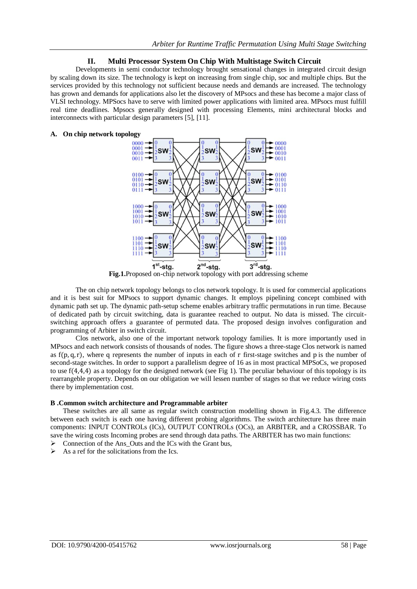## **II. Multi Processor System On Chip With Multistage Switch Circuit**

Developments in semi conductor technology brought sensational changes in integrated circuit design by scaling down its size. The technology is kept on increasing from single chip, soc and multiple chips. But the services provided by this technology not sufficient because needs and demands are increased. The technology has grown and demands for applications also let the discovery of MPsocs and these has become a major class of VLSI technology. MPSocs have to serve with limited power applications with limited area. MPsocs must fulfill real time deadlines. Mpsocs generally designed with processing Elements, mini architectural blocks and interconnects with particular design parameters [5], [11].

### **A. On chip network topology**



**Fig.1.**Proposed on-chip network topology with port addressing scheme

The on chip network topology belongs to clos network topology. It is used for commercial applications and it is best suit for MPsocs to support dynamic changes. It employs pipelining concept combined with dynamic path set up. The dynamic path-setup scheme enables arbitrary traffic permutations in run time. Because of dedicated path by circuit switching, data is guarantee reached to output. No data is missed. The circuitswitching approach offers a guarantee of permuted data. The proposed design involves configuration and programming of Arbiter in switch circuit.

Clos network, also one of the important network topology families. It is more importantly used in MPsocs and each network consists of thousands of nodes. The figure shows a three-stage Clos network is named as  $f(p, q, r)$ , where q represents the number of inputs in each of r first-stage switches and p is the number of second-stage switches. In order to support a parallelism degree of 16 as in most practical MPSoCs, we proposed to use  $f(4,4,4)$  as a topology for the designed network (see Fig 1). The peculiar behaviour of this topology is its rearrangeble property. Depends on our obligation we will lessen number of stages so that we reduce wiring costs there by implementation cost.

#### **B .Common switch architecture and Programmable arbiter**

These switches are all same as regular switch construction modelling shown in Fig.4.3. The difference between each switch is each one having different probing algorithms. The switch architecture has three main components: INPUT CONTROLs (ICs), OUTPUT CONTROLs (OCs), an ARBITER, and a CROSSBAR. To save the wiring costs Incoming probes are send through data paths. The ARBITER has two main functions:

- Connection of the Ans\_Outs and the ICs with the Grant bus,
- $\triangleright$  As a ref for the solicitations from the Ics.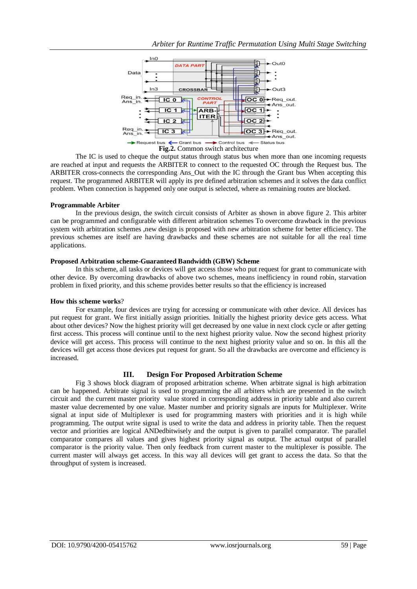

The IC is used to cheque the output status through status bus when more than one incoming requests are reached at input and requests the ARBITER to connect to the requested OC through the Request bus. The ARBITER cross-connects the corresponding Ans Out with the IC through the Grant bus When accepting this request. The programmed ARBITER will apply its pre defined arbitration schemes and it solves the data conflict problem. When connection is happened only one output is selected, where as remaining routes are blocked.

#### **Programmable Arbiter**

In the previous design, the switch circuit consists of Arbiter as shown in above figure 2. This arbiter can be programmed and configurable with different arbitration schemes To overcome drawback in the previous system with arbitration schemes ,new design is proposed with new arbitration scheme for better efficiency. The previous schemes are itself are having drawbacks and these schemes are not suitable for all the real time applications.

#### **Proposed Arbitration scheme-Guaranteed Bandwidth (GBW) Scheme**

In this scheme, all tasks or devices will get access those who put request for grant to communicate with other device. By overcoming drawbacks of above two schemes, means inefficiency in round robin, starvation problem in fixed priority, and this scheme provides better results so that the efficiency is increased

## **How this scheme works**?

For example, four devices are trying for accessing or communicate with other device. All devices has put request for grant. We first initially assign priorities. Initially the highest priority device gets access. What about other devices? Now the highest priority will get decreased by one value in next clock cycle or after getting first access. This process will continue until to the next highest priority value. Now the second highest priority device will get access. This process will continue to the next highest priority value and so on. In this all the devices will get access those devices put request for grant. So all the drawbacks are overcome and efficiency is increased.

## **III. Design For Proposed Arbitration Scheme**

Fig 3 shows block diagram of proposed arbitration scheme. When arbitrate signal is high arbitration can be happened. Arbitrate signal is used to programming the all arbiters which are presented in the switch circuit and the current master priority value stored in corresponding address in priority table and also current master value decremented by one value. Master number and priority signals are inputs for Multiplexer. Write signal at input side of Multiplexer is used for programming masters with priorities and it is high while programming. The output write signal is used to write the data and address in priority table. Then the request vector and priorities are logical ANDedbitwisely and the output is given to parallel comparator. The parallel comparator compares all values and gives highest priority signal as output. The actual output of parallel comparator is the priority value. Then only feedback from current master to the multiplexer is possible. The current master will always get access. In this way all devices will get grant to access the data. So that the throughput of system is increased.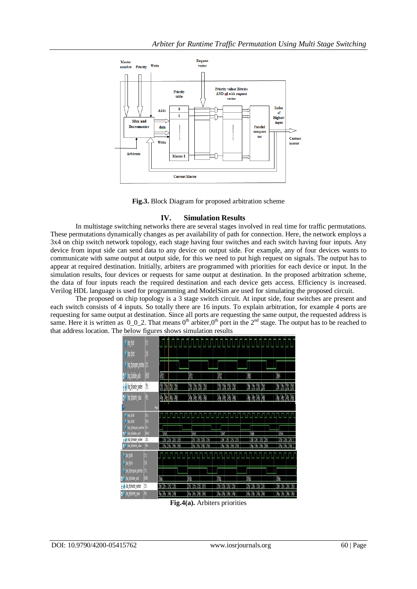

**Fig.3.** Block Diagram for proposed arbitration scheme

## **IV. Simulation Results**

In multistage switching networks there are several stages involved in real time for traffic permutations. These permutations dynamically changes as per availability of path for connection. Here, the network employs a 3x4 on chip switch network topology, each stage having four switches and each switch having four inputs. Any device from input side can send data to any device on output side. For example, any of four devices wants to communicate with same output at output side, for this we need to put high request on signals. The output has to appear at required destination. Initially, arbiters are programmed with priorities for each device or input. In the simulation results, four devices or requests for same output at destination. In the proposed arbitration scheme, the data of four inputs reach the required destination and each device gets access. Efficiency is increased. Verilog HDL language is used for programming and ModelSim are used for simulating the proposed circuit.

The proposed on chip topology is a 3 stage switch circuit. At input side, four switches are present and each switch consists of 4 inputs. So totally there are 16 inputs. To explain arbitration, for example 4 ports are requesting for same output at destination. Since all ports are requesting the same output, the requested address is same. Here it is written as  $0_0$ -2. That means  $0^{\text{th}}$  arbiter, $0^{\text{th}}$  port in the  $2^{\text{nd}}$  stage. The output has to be reached to that address location. The below figures shows simulation results

| n bit<br>$\sqrt{\omega_{\rm{max}}}$           |            |                            |                                  |                             |                                     |                                                |
|-----------------------------------------------|------------|----------------------------|----------------------------------|-----------------------------|-------------------------------------|------------------------------------------------|
| <b>I</b> hoogan profes                        |            |                            |                                  |                             |                                     |                                                |
| <b>g.4</b> hop blacker and                    | S)         | 30)                        | 헤                                | 6h)                         | 60                                  | 604                                            |
| op tynaster number                            | M          | 250 251 252 253            | 250 251 252 253                  | 250 251 252 253             | 2No (2No (2N2 2N3                   | [2h0 (2h1 [2h2 ]2h3                            |
| <mark>,</mark> ho biorany vale                | 41         | <b>40 40 46 48</b>         | 413 416 418                      | 472 476 476                 | 46 (4r. 46 48                       | $4a$ $4a$ $4b$ $4b$                            |
|                                               |            | Nos                        |                                  |                             |                                     |                                                |
| 4 /op bids<br>$+$ $\hbar$ pits                | M          |                            | r ng nga gannanggan gang pagbala |                             |                                     |                                                |
| hop thierogian promies                        | ib1        |                            | <b>Fill</b>                      |                             |                                     |                                                |
| <b>ho</b> claties add<br>Nop_thinaster_number | âX,<br>Thi | 価<br>(2h1 (2h2 ) 2h3<br>ÍМ | 260 261 262 263                  | 1610<br>260 (261 (262 ) 263 | <b>BB</b><br>M<br>(2h1, 12h2, 12h3) | <b>GYN</b><br>(zh) (zh) (zh) )                 |
| 8- <sup>4</sup> ho closing value              | k.         | The TAx: TAX: 148          | (Au 14c 146 148                  | 14ha 14hc 14h6 14h8         | (4ha 14hc 14h6 14h8                 | $[4a]$ $[4c]$ $[46]$                           |
| $\sqrt{\frac{1}{2}}$<br>$\frac{1}{2}$ to the  |            |                            |                                  |                             |                                     |                                                |
| $\gamma$ , hop there can provide              |            |                            |                                  |                             |                                     |                                                |
| <b>0-9</b> too blanker and                    | 660        | 6h                         | (Sh)                             | 16M                         | 610                                 | lik                                            |
| + y loo thinaster number                      | 2ht        | 2h0 12h1 12h2 12h3         | (2h) 12h1 (2h2 12h3              | 2h0 12h1 12h2 12h3          | 260 (261 ) 262 (263                 | 12h0 12h1 12h2 12h3                            |
| <b>14 hopperently rate</b>                    | k          | the <i>fine</i> (4h6 14h6  | The 14c 146 146                  | Fia 14k 146 148             | the 14x 146 148                     | 14 <sub>18</sub>   4 <sub>10</sub>   416   418 |

**Fig.4(a).** Arbiters priorities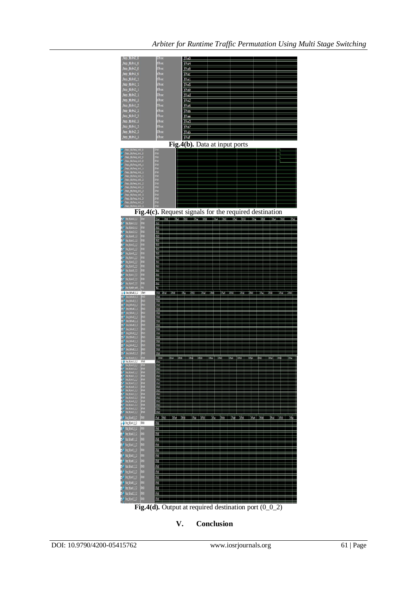

**V. Conclusion**